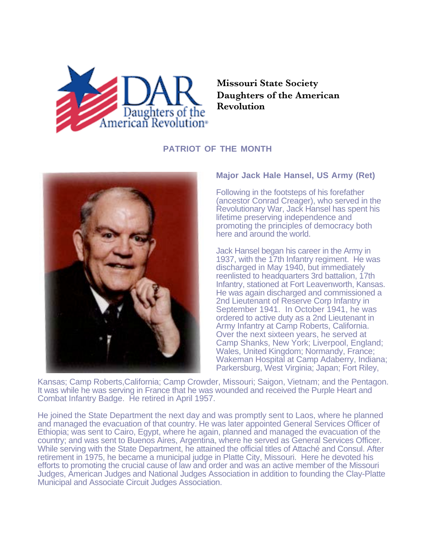

**Missouri State Society Daughters of the American Revolution**

## **PATRIOT OF THE MONTH**



## **Major Jack Hale Hansel, US Army (Ret)**

Following in the footsteps of his forefather (ancestor Conrad Creager), who served in the Revolutionary War, Jack Hansel has spent his lifetime preserving independence and promoting the principles of democracy both here and around the world.

Jack Hansel began his career in the Army in 1937, with the 17th Infantry regiment. He was discharged in May 1940, but immediately reenlisted to headquarters 3rd battalion, 17th Infantry, stationed at Fort Leavenworth, Kansas. He was again discharged and commissioned a 2nd Lieutenant of Reserve Corp Infantry in September 1941. In October 1941, he was ordered to active duty as a 2nd Lieutenant in Army Infantry at Camp Roberts, California. Over the next sixteen years, he served at Camp Shanks, New York; Liverpool, England; Wales, United Kingdom; Normandy, France; Wakeman Hospital at Camp Adaberry, Indiana; Parkersburg, West Virginia; Japan; Fort Riley,

Kansas; Camp Roberts,California; Camp Crowder, Missouri; Saigon, Vietnam; and the Pentagon. It was while he was serving in France that he was wounded and received the Purple Heart and Combat Infantry Badge. He retired in April 1957.

He joined the State Department the next day and was promptly sent to Laos, where he planned and managed the evacuation of that country. He was later appointed General Services Officer of Ethiopia; was sent to Cairo, Egypt, where he again, planned and managed the evacuation of the country; and was sent to Buenos Aires, Argentina, where he served as General Services Officer. While serving with the State Department, he attained the official titles of Attaché and Consul. After retirement in 1975, he became a municipal judge in Platte City, Missouri. Here he devoted his efforts to promoting the crucial cause of law and order and was an active member of the Missouri Judges, American Judges and National Judges Association in addition to founding the Clay-Platte Municipal and Associate Circuit Judges Association.